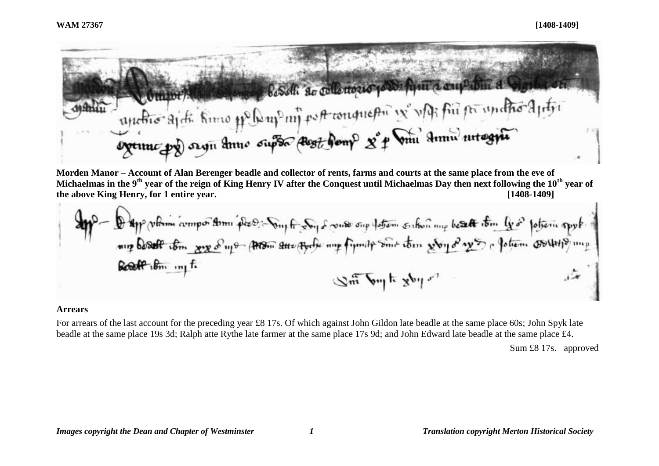

**Morden Manor – Account of Alan Berenger beadle and collector of rents, farms and courts at the same place from the eve of Michaelmas in the 9th year of the reign of King Henry IV after the Conquest until Michaelmas Day then next following the 10th year of the above King Henry, for 1 entire year. [1408-1409]**

#### **Arrears**

For arrears of the last account for the preceding year £8 17s. Of which against John Gildon late beadle at the same place 60s; John Spyk late beadle at the same place 19s 3d; Ralph atte Rythe late farmer at the same place 17s 9d; and John Edward late beadle at the same place £4.

Sum £8 17s. approved

*Images copyright the Dean and Chapter of Westminster 1 Translation copyright Merton Historical Society*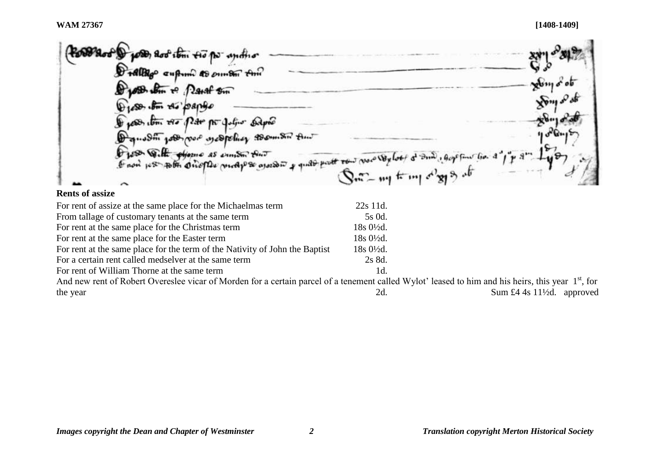#### **WAM 27367 [1408-1409]**

**ost & posts, soo tom two po-** and to Dralligo cupum to ounter this zby  $\frac{1}{2}$  $\sqrt{2}m$  $\mathcal{S}$   $\mathcal{S}$   $\cdots$   $\mathcal{A}$   $\mathcal{S}$   $\mathcal{S}$   $\mathcal{S}$   $\mathcal{N}$  $28 - 1$ Ø with the Ho Pate no Julie Same washing word waspeling to om Sir time 58 Quette objection as exercise that O jos With objective as entitled that<br>I now per to the one of the model of our operator of quality part row was very look of and a good  $1 + s$ 

### **Rents of assize**

| For rent of assize at the same place for the Michaelmas term                                                                                                   | 22s 11d.               |                                       |
|----------------------------------------------------------------------------------------------------------------------------------------------------------------|------------------------|---------------------------------------|
| From tallage of customary tenants at the same term                                                                                                             | 5s 0d.                 |                                       |
| For rent at the same place for the Christmas term                                                                                                              | $18s\,0\frac{1}{2}d$ . |                                       |
| For rent at the same place for the Easter term                                                                                                                 | $18s0\frac{1}{2}d$ .   |                                       |
| For rent at the same place for the term of the Nativity of John the Baptist                                                                                    | $18s0\frac{1}{2}d$ .   |                                       |
| For a certain rent called medselver at the same term                                                                                                           | 2s 8d.                 |                                       |
| For rent of William Thorne at the same term                                                                                                                    | $1d$ .                 |                                       |
| And new rent of Robert Overeslee vicar of Morden for a certain parcel of a tenement called Wylot' leased to him and his heirs, this year 1 <sup>st</sup> , for |                        |                                       |
| the year                                                                                                                                                       | 2d.                    | Sum £4 4s $11\frac{1}{2}d$ . approved |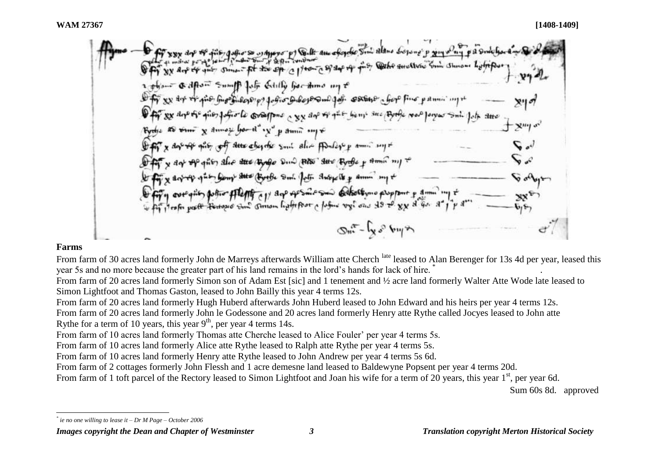gafiors with your p) South and of golfo South Alano Sopong p ging of sime - pt to sp a pro- as dep of dfton Sumff fals Etilly became my t is burghilopop gofio Dilojo Quigo. estano chop fino pamin' ingre 88 days of a given factor to consequent a 88 days of give being sure (Byorde 1000 Jorges Suit Jake arre as  $x_{1}$  and  $y_{2}$  be  $x_{1}$  of  $y_{2}$  and  $y_{3}$ Off x day of site of the objects suit alie Andapp ami supt y day of gives the the pole and the due type y time my + x day of gues from the Books Sul for subjects & sum my + Fig. over grien polico ffleffig cy ago openience adhothymo propport y amin  $2m - \mu s_0$  by  $\gamma$ 

# **Farms**

l

From farm of 30 acres land formerly John de Marreys afterwards William atte Cherch <sup>late</sup> leased to Alan Berenger for 13s 4d per year, leased this year 5s and no more because the greater part of his land remains in the lord's hands for lack of hire. .

From farm of 20 acres land formerly Simon son of Adam Est [sic] and 1 tenement and ½ acre land formerly Walter Atte Wode late leased to Simon Lightfoot and Thomas Gaston, leased to John Bailly this year 4 terms 12s.

From farm of 20 acres land formerly Hugh Huberd afterwards John Huberd leased to John Edward and his heirs per year 4 terms 12s.

From farm of 20 acres land formerly John le Godessone and 20 acres land formerly Henry atte Rythe called Jocyes leased to John atte Rythe for a term of 10 years, this year  $9<sup>th</sup>$ , per year 4 terms 14s.

From farm of 10 acres land formerly Thomas atte Cherche leased to Alice Fouler' per year 4 terms 5s.

From farm of 10 acres land formerly Alice atte Rythe leased to Ralph atte Rythe per year 4 terms 5s.

From farm of 10 acres land formerly Henry atte Rythe leased to John Andrew per year 4 terms 5s 6d.

From farm of 2 cottages formerly John Flessh and 1 acre demesne land leased to Baldewyne Popsent per year 4 terms 20d.

From farm of 1 toft parcel of the Rectory leased to Simon Lightfoot and Joan his wife for a term of 20 years, this year 1<sup>st</sup>, per year 6d.

Sum 60s 8d. approved

*<sup>\*</sup> ie no one willing to lease it – Dr M Page – October 2006*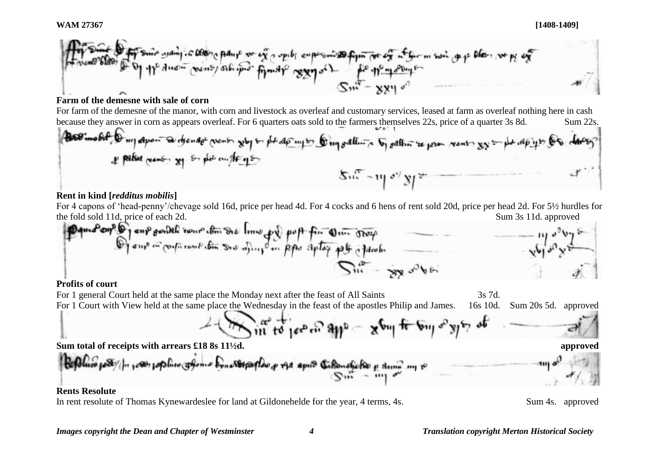**WAM 27367 [1408-1409]**



# **Farm of the demesne with sale of corn**

For farm of the demesne of the manor, with corn and livestock as overleaf and customary services, leased at farm as overleaf nothing here in cash because they answer in corn as appears overleaf. For 6 quarters oats sold to the farmers themselves 22s, price of a quarter 3s 8d. Sum 22s.

# **Rent in kind [***redditus mobilis***]**

For 4 capons of 'head-penny'/chevage sold 16d, price per head 4d. For 4 cocks and 6 hens of rent sold 20d, price per head 2d. For 5½ hurdles for the fold sold 11d, price of each 2d. Sum 3s 11d. approved

## **Profits of court**

For 1 general Court held at the same place the Monday next after the feast of All Saints 3s 7d. For 1 Court with View held at the same place the Wednesday in the feast of the apostles Philip and James. 16s 10d. Sum 20s 5d. approved  $\sum_{i=1}^{\infty}$  to jee or **Sum total of receipts with arrears £18 8s 11½d. approved** papler of the april Citanship

# **Rents Resolute**

In rent resolute of Thomas Kynewardeslee for land at Gildonehelde for the year, 4 terms, 4s. Sum 4s. approved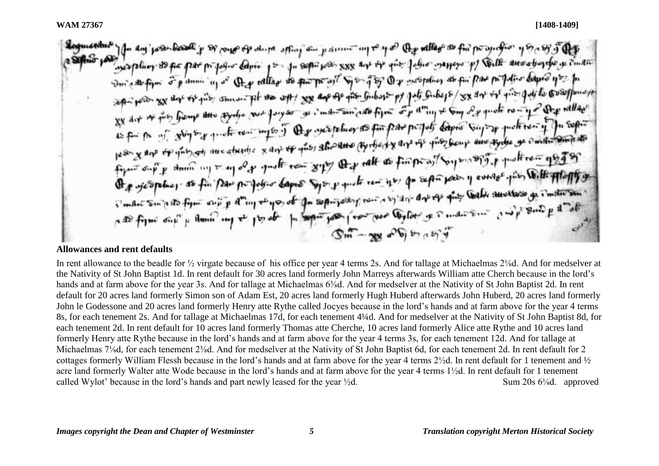The day' post-book y so porpo the dups spling on y dimension to y of the vallage as for possibles y so the fight supplier so pa par propos- copie por qu'appares xxx aux est que jour sanger p) Coule aux abordes a cui au Durato figure of promising as they vallage as par par ast Sport of the woopelines as for pas por fation bapted you for sep- pour ou der es qu'il annon pl se up/ xx ap de por finbare py pet Gubeps/ xx der es qu'il qui le courponner XX dit of this fromp and agrege your forges of individual film of a any to say of quote row up after will does es dit of this biens and again to pay in the secretary as for part portof capito support protection of the sepond 15 for the of glugs of quote rent maps of the species as for fund and of gives from and any se contact and the poor x are the guis an aux studies x act of your star and copyright as finite as the prototy protection up of or Org sjederling, as fin par projetor dapes Systematican is of separation y average pis With Hilaffy or en are specifical as for pour per person capito specifique en post para la proprese que la secretaria de instrument age fulme early it game and to he also open to see from love and contained to man some surface and to get a get  $\mathbb{S}^m$  - we object that

# **Allowances and rent defaults**

In rent allowance to the beadle for <sup>1</sup>/<sub>2</sub> virgate because of his office per year 4 terms 2s. And for tallage at Michaelmas 2<sup>1</sup>/<sub>8</sub>d. And for medselver at the Nativity of St John Baptist 1d. In rent default for 30 acres land formerly John Marreys afterwards William atte Cherch because in the lord's hands and at farm above for the year 3s. And for tallage at Michaelmas 6<sup>3</sup>/<sub>8</sub>d. And for medselver at the Nativity of St John Baptist 2d. In rent default for 20 acres land formerly Simon son of Adam Est, 20 acres land formerly Hugh Huberd afterwards John Huberd, 20 acres land formerly John le Godessone and 20 acres land formerly Henry atte Rythe called Jocyes because in the lord's hands and at farm above for the year 4 terms 8s, for each tenement 2s. And for tallage at Michaelmas 17d, for each tenement 4¼d. And for medselver at the Nativity of St John Baptist 8d, for each tenement 2d. In rent default for 10 acres land formerly Thomas atte Cherche, 10 acres land formerly Alice atte Rythe and 10 acres land formerly Henry atte Rythe because in the lord's hands and at farm above for the year 4 terms 3s, for each tenement 12d. And for tallage at Michaelmas 7¼d, for each tenement 2¾d. And for medselver at the Nativity of St John Baptist 6d, for each tenement 2d. In rent default for 2 cottages formerly William Flessh because in the lord's hands and at farm above for the year 4 terms 2½d. In rent default for 1 tenement and ½ acre land formerly Walter atte Wode because in the lord's hands and at farm above for the year 4 terms 1½d. In rent default for 1 tenement called Wylot' because in the lord's hands and part newly leased for the year  $\frac{1}{2}d$ . Sum 20s 6<sup>1</sup>/<sub>8</sub>d. approved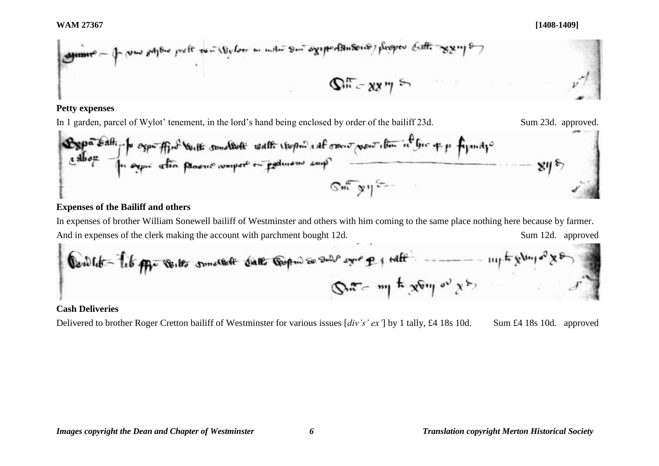

## **Petty expenses**

In 1 garden, parcel of Wylot' tenement, in the lord's hand being enclosed by order of the bailiff 23d. Sum 23d. approved.

$$
\frac{\mathbf{E}\mathbf{g}\rho^{\frac{1}{\alpha}}\mathbf{\hat{s}}^{\frac{1}{\alpha}}\mathbf{h}}{\mathbf{g}^{\frac{1}{\alpha}}\mathbf{g}\rho^{\frac{1}{\alpha}}\mathbf{h}\rho^{\frac{1}{\alpha}}\mathbf{g}\rho^{\frac{1}{\alpha}}\mathbf{g}\rho^{\frac{1}{\alpha}}\mathbf{g}\rho^{\frac{1}{\alpha}}\mathbf{g}\rho^{\frac{1}{\alpha}}\mathbf{g}\rho^{\frac{1}{\alpha}}\mathbf{g}\rho^{\frac{1}{\alpha}}\mathbf{g}\rho^{\frac{1}{\alpha}}\mathbf{g}\rho^{\frac{1}{\alpha}}\mathbf{g}\rho^{\frac{1}{\alpha}}\mathbf{g}\rho^{\frac{1}{\alpha}}\mathbf{g}\rho^{\frac{1}{\alpha}}\mathbf{g}\rho^{\frac{1}{\alpha}}\mathbf{g}\rho^{\frac{1}{\alpha}}\mathbf{g}\rho^{\frac{1}{\alpha}}\mathbf{g}\rho^{\frac{1}{\alpha}}\mathbf{g}\rho^{\frac{1}{\alpha}}\mathbf{g}\rho^{\frac{1}{\alpha}}\mathbf{g}\rho^{\frac{1}{\alpha}}\mathbf{g}\rho^{\frac{1}{\alpha}}\mathbf{g}\rho^{\frac{1}{\alpha}}\mathbf{g}\rho^{\frac{1}{\alpha}}\mathbf{g}\rho^{\frac{1}{\alpha}}\mathbf{g}\rho^{\frac{1}{\alpha}}\mathbf{g}\rho^{\frac{1}{\alpha}}\mathbf{g}\rho^{\frac{1}{\alpha}}\mathbf{g}\rho^{\frac{1}{\alpha}}\mathbf{g}\rho^{\frac{1}{\alpha}}\mathbf{g}\rho^{\frac{1}{\alpha}}\mathbf{g}\rho^{\frac{1}{\alpha}}\mathbf{g}\rho^{\frac{1}{\alpha}}\mathbf{g}\rho^{\frac{1}{\alpha}}\mathbf{g}\rho^{\frac{1}{\alpha}}\mathbf{g}\rho^{\frac{1}{\alpha}}\mathbf{g}\rho^{\frac{1}{\alpha}}\mathbf{g}\rho^{\frac{1}{\alpha}}\mathbf{g}\rho^{\frac{1}{\alpha}}\mathbf{g}\rho^{\frac{1}{\alpha}}\mathbf{g}\rho^{\frac{1}{\alpha}}\mathbf{g}\rho^{\frac{1}{\alpha}}\mathbf{g}\rho^{\frac{1}{\alpha}}\mathbf{g}\rho^{\frac{1}{\alpha}}\mathbf{g}\rho^{\frac{1
$$

# **Expenses of the Bailiff and others**

In expenses of brother William Sonewell bailiff of Westminster and others with him coming to the same place nothing here because by farmer. And in expenses of the clerk making the account with parchment bought 12d. Sum 12d. approved

**0 0 with** 
$$
-\frac{1}{2}i\frac{1}{2}i\frac{1}{2}i\frac{1}{2}i\frac{1}{2}i\frac{1}{2}i\frac{1}{2}i\frac{1}{2}i\frac{1}{2}i\frac{1}{2}i\frac{1}{2}i\frac{1}{2}i\frac{1}{2}i\frac{1}{2}i\frac{1}{2}i\frac{1}{2}i\frac{1}{2}i\frac{1}{2}i\frac{1}{2}i\frac{1}{2}i\frac{1}{2}i\frac{1}{2}i\frac{1}{2}i\frac{1}{2}i\frac{1}{2}i\frac{1}{2}i\frac{1}{2}i\frac{1}{2}i\frac{1}{2}i\frac{1}{2}i\frac{1}{2}i\frac{1}{2}i\frac{1}{2}i\frac{1}{2}i\frac{1}{2}i\frac{1}{2}i\frac{1}{2}i\frac{1}{2}i\frac{1}{2}i\frac{1}{2}i\frac{1}{2}i\frac{1}{2}i\frac{1}{2}i\frac{1}{2}i\frac{1}{2}i\frac{1}{2}i\frac{1}{2}i\frac{1}{2}i\frac{1}{2}i\frac{1}{2}i\frac{1}{2}i\frac{1}{2}i\frac{1}{2}i\frac{1}{2}i\frac{1}{2}i\frac{1}{2}i\frac{1}{2}i\frac{1}{2}i\frac{1}{2}i\frac{1}{2}i\frac{1}{2}i\frac{1}{2}i\frac{1}{2}i\frac{1}{2}i\frac{1}{2}i\frac{1}{2}i\frac{1}{2}i\frac{1}{2}i\frac{1}{2}i\frac{1}{2}i\frac{1}{2}i\frac{1}{2}i\frac{1}{2}i\frac{1}{2}i\frac{1}{2}i\frac{1}{2}i\frac{1}{2}i\frac{1}{2}i\frac{1}{2}i\frac{1}{2}i\frac{1}{2}i\frac{1}{2}i\frac{1}{2}i\frac{1}{2}i\frac{1}{2}i\frac{1}{2}i\frac{1}{2}i\frac{1}{2}i\frac{1}{2}i\frac{1}{2}i\frac{1}{2}i\frac{1}{2}i\frac{1}{2
$$

# **Cash Deliveries**

Delivered to brother Roger Cretton bailiff of Westminster for various issues [*div's' ex'*] by 1 tally, £4 18s 10d. Sum £4 18s 10d. approved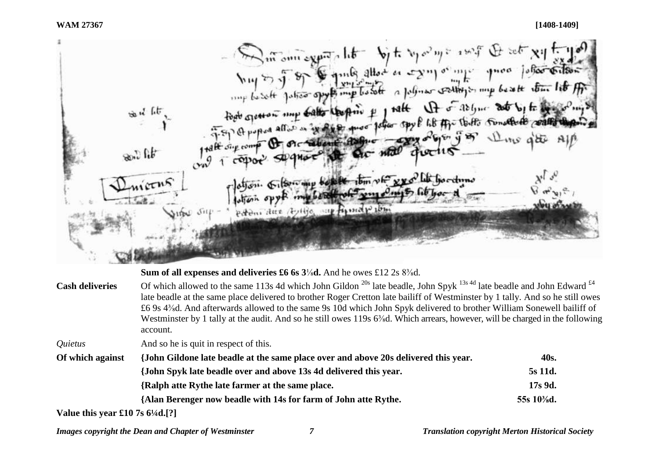Sur our experts lite by to be polyte a wife the set xil to set todo general patient spot of the first of the factor of the first spot by the RESPIRE Judger spy & life Affection Sunature control or Sabone Ash Add Sig comp  $30.5$  fit  $\frac{1}{2}$   $\frac{1}{2}$   $\frac{1}{2}$   $\frac{1}{2}$   $\frac{1}{2}$   $\frac{1}{2}$   $\frac{1}{2}$   $\frac{1}{2}$   $\frac{1}{2}$   $\frac{1}{2}$   $\frac{1}{2}$   $\frac{1}{2}$   $\frac{1}{2}$   $\frac{1}{2}$   $\frac{1}{2}$   $\frac{1}{2}$   $\frac{1}{2}$   $\frac{1}{2}$   $\frac{1}{2}$   $\frac{1}{2}$   $\frac{1}{2}$   $\frac{1}{2}$  extensions (bylija supposed postes

#### **Sum of all expenses and deliveries £6 6s 3**⅛**d.** And he owes £12 2s 8⅜d.

**Cash deliveries** Of which allowed to the same 113s 4d which John Gildon <sup>20s</sup> late beadle, John Spyk <sup>13s 4d</sup> late beadle and John Edward <sup>£4</sup> late beadle at the same place delivered to brother Roger Cretton late bailiff of Westminster by 1 tally. And so he still owes £6 9s 4⅜d. And afterwards allowed to the same 9s 10d which John Spyk delivered to brother William Sonewell bailiff of Westminster by 1 tally at the audit. And so he still owes 119s 6<sup>3</sup>/<sub>8</sub>d. Which arrears, however, will be charged in the following account.

*Quietus* And so he is quit in respect of this.

| Of which against | {John Gildone late beadle at the same place over and above 20s delivered this year. |               |
|------------------|-------------------------------------------------------------------------------------|---------------|
|                  | {John Spyk late beadle over and above 13s 4d delivered this year.                   | 5s 11d.       |
|                  | {Ralph atte Rythe late farmer at the same place.                                    | 17s 9d.       |
|                  | {Alan Berenger now beadle with 14s for farm of John atte Rythe.                     | 55s $10\%$ d. |

**Value this year £10 7s 6¼d.[?]**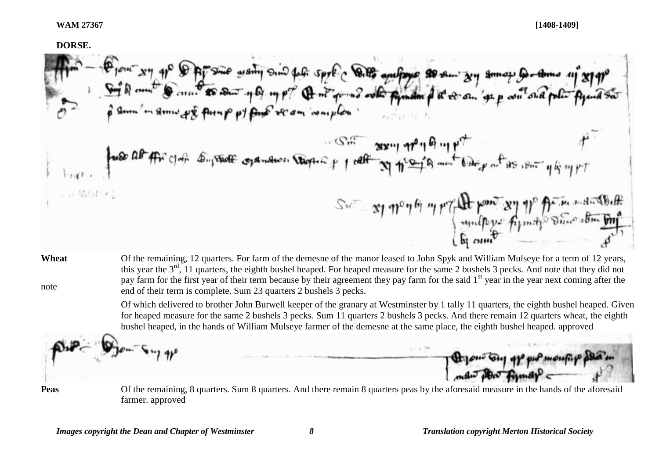# **DORSE.**  Diene sy of DAFS was wanty sind for spot c Ditto and for a somew sy amove to an of stappe Soft and the stappe o<br>Soft of met to come as soon up up? A milion of who find the or on 's p on one plan figures  $-55 - 88 - 19 - 96 - 9$ fuse at the got support open thousand the popular of the state of the state of the . . Martin  $S_{\text{max}} = \frac{1}{2} \eta^{\text{p}} \eta^{\text{p}} \eta^{\text{p}} \eta^{\text{p}} \eta^{\text{p}} \eta^{\text{p}} \eta^{\text{p}} \eta^{\text{p}} \eta^{\text{p}} \eta^{\text{p}} \eta^{\text{p}} \eta^{\text{p}} \eta^{\text{p}} \eta^{\text{p}} \eta^{\text{p}} \eta^{\text{p}} \eta^{\text{p}} \eta^{\text{p}} \eta^{\text{p}} \eta^{\text{p}} \eta^{\text{p}} \eta^{\text{p}} \eta^{\text{p}} \eta^{\text{p}} \eta^{\text{p}} \eta^{\text$

**Wheat** note Of the remaining, 12 quarters. For farm of the demesne of the manor leased to John Spyk and William Mulseye for a term of 12 years, this year the 3<sup>rd</sup>, 11 quarters, the eighth bushel heaped. For heaped measure for the same 2 bushels 3 pecks. And note that they did not pay farm for the first year of their term because by their agreement they pay farm for the said 1<sup>st</sup> year in the year next coming after the end of their term is complete. Sum 23 quarters 2 bushels 3 pecks.

> Of which delivered to brother John Burwell keeper of the granary at Westminster by 1 tally 11 quarters, the eighth bushel heaped. Given for heaped measure for the same 2 bushels 3 pecks. Sum 11 quarters 2 bushels 3 pecks. And there remain 12 quarters wheat, the eighth bushel heaped, in the hands of William Mulseye farmer of the demesne at the same place, the eighth bushel heaped. approved

**Peas** Of the remaining, 8 quarters. Sum 8 quarters. And there remain 8 quarters peas by the aforesaid measure in the hands of the aforesaid farmer. approved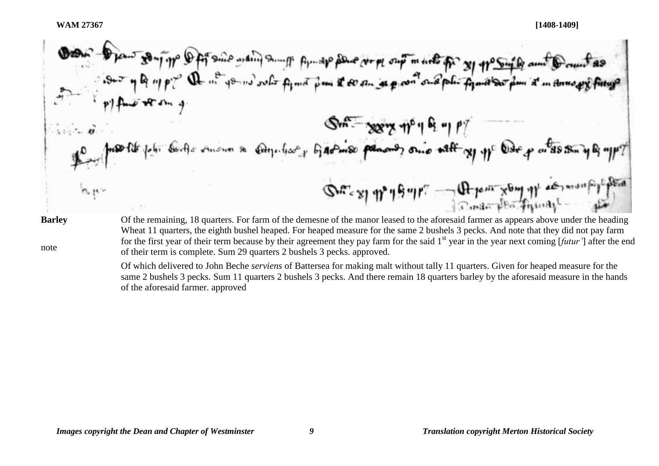son Type Defisions wain someth for the place were out market for so the fact Q nº your outer fymo I so an as poor one poli finalso  $S_{m} = \frac{1}{2} \frac{1}{2} \left[ \frac{1}{2} \frac{1}{2} \frac{1}{2} \frac{1}{2} \frac{1}{2} \frac{1}{2} \frac{1}{2} \frac{1}{2} \frac{1}{2} \frac{1}{2} \frac{1}{2} \frac{1}{2} \frac{1}{2} \frac{1}{2} \frac{1}{2} \frac{1}{2} \frac{1}{2} \frac{1}{2} \frac{1}{2} \frac{1}{2} \frac{1}{2} \frac{1}{2} \frac{1}{2} \frac{1}{2} \frac{1}{2} \frac{1}{2} \frac{1}{2} \frac{1}{2} \frac$ Contra mount & computer of the most power on other of the other Son exp month of the Content of the last descending Of the remaining, 18 quarters. For farm of the demesne of the manor leased to the aforesaid farmer as appears above under the heading **Barley**

note

Wheat 11 quarters, the eighth bushel heaped. For heaped measure for the same 2 bushels 3 pecks. And note that they did not pay farm for the first year of their term because by their agreement they pay farm for the said 1<sup>st</sup> year in the year next coming [*futur'*] after the end of their term is complete. Sum 29 quarters 2 bushels 3 pecks. approved.

Of which delivered to John Beche *serviens* of Battersea for making malt without tally 11 quarters. Given for heaped measure for the same 2 bushels 3 pecks. Sum 11 quarters 2 bushels 3 pecks. And there remain 18 quarters barley by the aforesaid measure in the hands of the aforesaid farmer. approved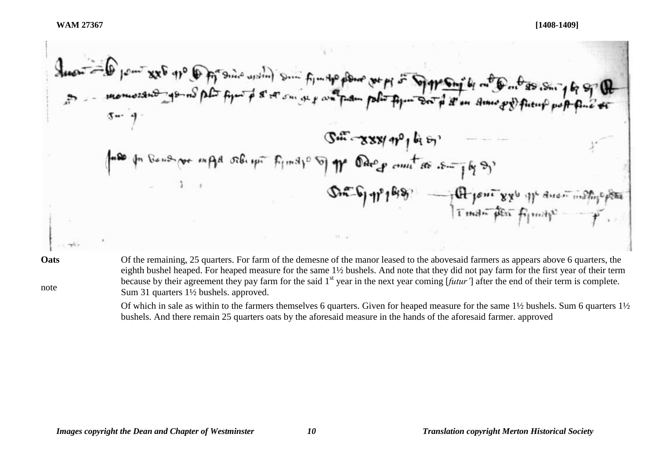**Oats**

note

Of the remaining, 25 quarters. For farm of the demesne of the manor leased to the abovesaid farmers as appears above 6 quarters, the eighth bushel heaped. For heaped measure for the same 1½ bushels. And note that they did not pay farm for the first year of their term because by their agreement they pay farm for the said 1<sup>st</sup> year in the next year coming [*futur'*] after the end of their term is complete. Sum 31 quarters 1½ bushels. approved.

Of which in sale as within to the farmers themselves 6 quarters. Given for heaped measure for the same 1½ bushels. Sum 6 quarters 1½ bushels. And there remain 25 quarters oats by the aforesaid measure in the hands of the aforesaid farmer. approved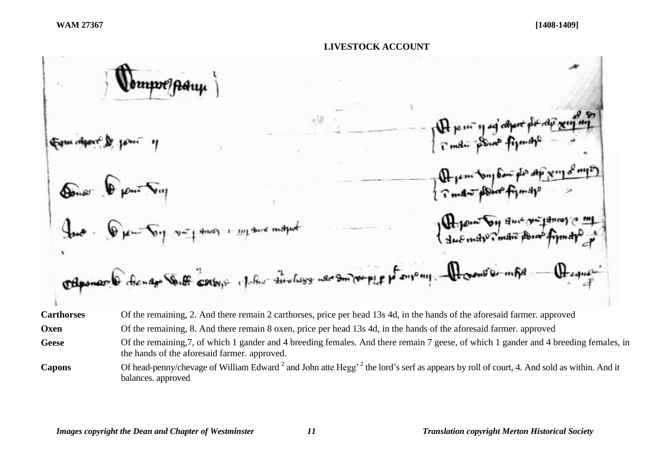



Capons Of head-penny/chevage of William Edward<sup>2</sup> and John atte Hegg<sup>, 2</sup> the lord's serf as appears by roll of court, 4. And sold as within. And it balances. approved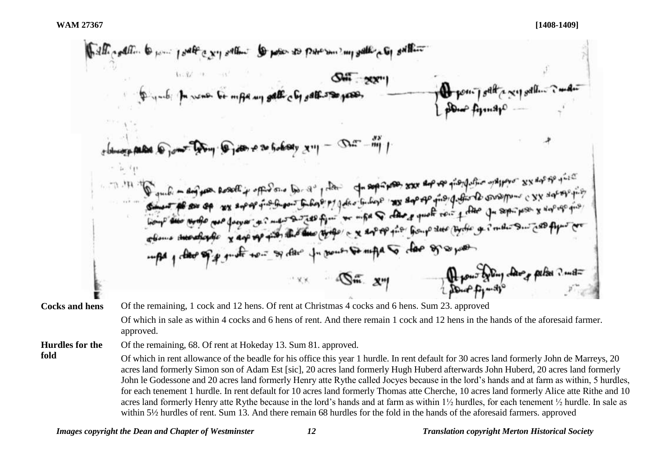**fold**

half really to your post a very other to pose to pare sure all run gallery to get Try Trans a so bobody x 11 - Dur-my trong and wrote new factors of me and the fire of the company of the four due to the get meter out and fit 1 der of p punt to - sy der for pour so mpa to doe of support Report of the change perfect ? mot  $\cdots$   $\mathbb{S}^m$   $\mathbb{Z}^m$ **Cocks and hens** Of the remaining, 1 cock and 12 hens. Of rent at Christmas 4 cocks and 6 hens. Sum 23. approved Of which in sale as within 4 cocks and 6 hens of rent. And there remain 1 cock and 12 hens in the hands of the aforesaid farmer. approved. Of the remaining, 68. Of rent at Hokeday 13. Sum 81. approved. **Hurdles for the**  Of which in rent allowance of the beadle for his office this year 1 hurdle. In rent default for 30 acres land formerly John de Marreys, 20 acres land formerly Simon son of Adam Est [sic], 20 acres land formerly Hugh Huberd afterwards John Huberd, 20 acres land formerly John le Godessone and 20 acres land formerly Henry atte Rythe called Jocyes because in the lord's hands and at farm as within, 5 hurdles, for each tenement 1 hurdle. In rent default for 10 acres land formerly Thomas atte Cherche, 10 acres land formerly Alice atte Rithe and 10 acres land formerly Henry atte Rythe because in the lord's hands and at farm as within 1½ hurdles, for each tenement ½ hurdle. In sale as within 5½ hurdles of rent. Sum 13. And there remain 68 hurdles for the fold in the hands of the aforesaid farmers. approved

*Images copyright the Dean and Chapter of Westminster 12 Translation copyright Merton Historical Society*